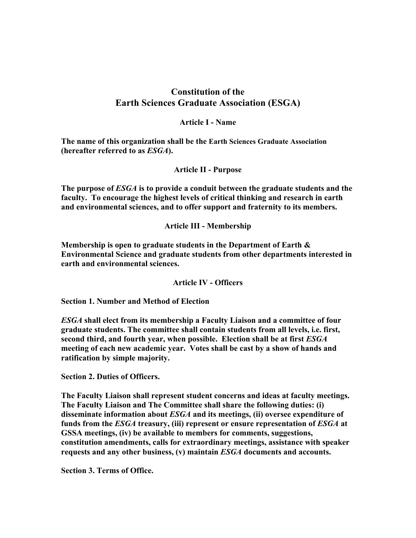## **Constitution of the Earth Sciences Graduate Association (ESGA)**

## **Article I - Name**

**The name of this organization shall be the Earth Sciences Graduate Association (hereafter referred to as** *ESGA***).**

**Article II - Purpose**

**The purpose of** *ESGA* **is to provide a conduit between the graduate students and the faculty. To encourage the highest levels of critical thinking and research in earth and environmental sciences, and to offer support and fraternity to its members.** 

**Article III - Membership**

**Membership is open to graduate students in the Department of Earth & Environmental Science and graduate students from other departments interested in earth and environmental sciences.** 

**Article IV - Officers**

**Section 1. Number and Method of Election** 

*ESGA* **shall elect from its membership a Faculty Liaison and a committee of four graduate students. The committee shall contain students from all levels, i.e. first, second third, and fourth year, when possible. Election shall be at first** *ESGA* **meeting of each new academic year. Votes shall be cast by a show of hands and ratification by simple majority.** 

**Section 2. Duties of Officers.** 

**The Faculty Liaison shall represent student concerns and ideas at faculty meetings. The Faculty Liaison and The Committee shall share the following duties: (i) disseminate information about** *ESGA* **and its meetings, (ii) oversee expenditure of funds from the** *ESGA* **treasury, (iii) represent or ensure representation of** *ESGA* **at GSSA meetings, (iv) be available to members for comments, suggestions, constitution amendments, calls for extraordinary meetings, assistance with speaker requests and any other business, (v) maintain** *ESGA* **documents and accounts.** 

**Section 3. Terms of Office.**